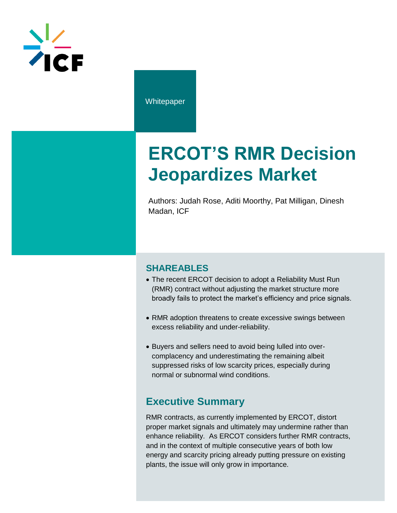

**Whitepaper** 

# **ERCOT'S RMR Decision Jeopardizes Market**

Authors: Judah Rose, Aditi Moorthy, Pat Milligan, Dinesh Madan, ICF

#### **SHAREABLES**

- The recent ERCOT decision to adopt a Reliability Must Run (RMR) contract without adjusting the market structure more broadly fails to protect the market's efficiency and price signals.
- RMR adoption threatens to create excessive swings between excess reliability and under-reliability.
- Buyers and sellers need to avoid being lulled into overcomplacency and underestimating the remaining albeit suppressed risks of low scarcity prices, especially during normal or subnormal wind conditions.

## **Executive Summary**

RMR contracts, as currently implemented by ERCOT, distort proper market signals and ultimately may undermine rather than enhance reliability. As ERCOT considers further RMR contracts, and in the context of multiple consecutive years of both low energy and scarcity pricing already putting pressure on existing plants, the issue will only grow in importance.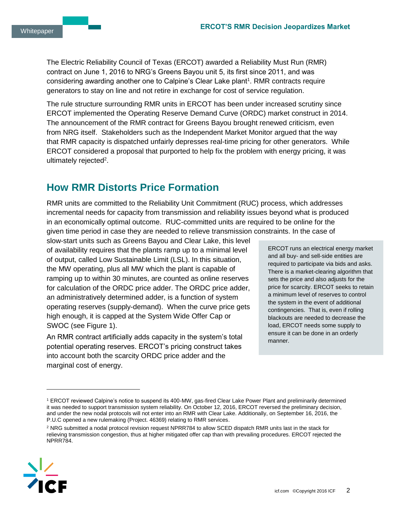The Electric Reliability Council of Texas (ERCOT) awarded a Reliability Must Run (RMR) contract on June 1, 2016 to NRG's Greens Bayou unit 5, its first since 2011, and was considering awarding another one to Calpine's Clear Lake plant<sup>1</sup>. RMR contracts require generators to stay on line and not retire in exchange for cost of service regulation.

The rule structure surrounding RMR units in ERCOT has been under increased scrutiny since ERCOT implemented the Operating Reserve Demand Curve (ORDC) market construct in 2014. The announcement of the RMR contract for Greens Bayou brought renewed criticism, even from NRG itself. Stakeholders such as the Independent Market Monitor argued that the way that RMR capacity is dispatched unfairly depresses real-time pricing for other generators. While ERCOT considered a proposal that purported to help fix the problem with energy pricing, it was ultimately rejected<sup>2</sup>.

# **How RMR Distorts Price Formation**

RMR units are committed to the Reliability Unit Commitment (RUC) process, which addresses incremental needs for capacity from transmission and reliability issues beyond what is produced in an economically optimal outcome. RUC-committed units are required to be online for the given time period in case they are needed to relieve transmission constraints. In the case of

slow-start units such as Greens Bayou and Clear Lake, this level of availability requires that the plants ramp up to a minimal level of output, called Low Sustainable Limit (LSL). In this situation, the MW operating, plus all MW which the plant is capable of ramping up to within 30 minutes, are counted as online reserves for calculation of the ORDC price adder. The ORDC price adder, an administratively determined adder, is a function of system operating reserves (supply-demand). When the curve price gets high enough, it is capped at the System Wide Offer Cap or SWOC (see Figure 1).

An RMR contract artificially adds capacity in the system's total potential operating reserves. ERCOT's pricing construct takes into account both the scarcity ORDC price adder and the marginal cost of energy.

ERCOT runs an electrical energy market and all buy- and sell-side entities are required to participate via bids and asks. There is a market-clearing algorithm that sets the price and also adjusts for the price for scarcity. ERCOT seeks to retain a minimum level of reserves to control the system in the event of additional contingencies. That is, even if rolling blackouts are needed to decrease the load, ERCOT needs some supply to ensure it can be done in an orderly manner.

<sup>&</sup>lt;sup>2</sup> NRG submitted a nodal protocol revision request NPRR784 to allow SCED dispatch RMR units last in the stack for relieving transmission congestion, thus at higher mitigated offer cap than with prevailing procedures. ERCOT rejected the NPRR784.



<sup>1</sup> ERCOT reviewed Calpine's notice to suspend its 400-MW, gas-fired Clear Lake Power Plant and preliminarily determined it was needed to support transmission system reliability. On October 12, 2016, ERCOT reversed the preliminary decision, and under the new nodal protocols will not enter into an RMR with Clear Lake. Additionally, on September 16, 2016, the P.U.C opened a new rulemaking (Project. 46369) relating to RMR services.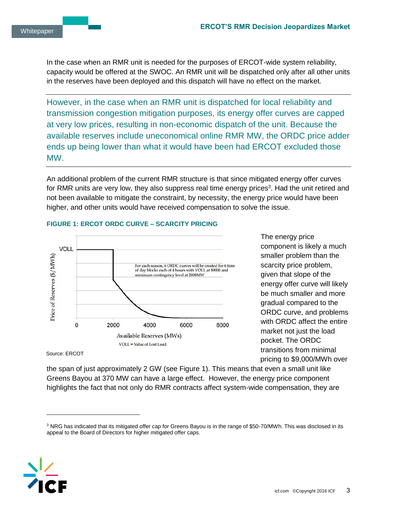In the case when an RMR unit is needed for the purposes of ERCOT-wide system reliability, capacity would be offered at the SWOC. An RMR unit will be dispatched only after all other units in the reserves have been deployed and this dispatch will have no effect on the market.

However, in the case when an RMR unit is dispatched for local reliability and transmission congestion mitigation purposes, its energy offer curves are capped at very low prices, resulting in non-economic dispatch of the unit. Because the available reserves include uneconomical online RMR MW, the ORDC price adder ends up being lower than what it would have been had ERCOT excluded those MW.

An additional problem of the current RMR structure is that since mitigated energy offer curves for RMR units are very low, they also suppress real time energy prices<sup>3</sup>. Had the unit retired and not been available to mitigate the constraint, by necessity, the energy price would have been higher, and other units would have received compensation to solve the issue.



#### **FIGURE 1: ERCOT ORDC CURVE – SCARCITY PRICING**

The energy price component is likely a much smaller problem than the scarcity price problem, given that slope of the energy offer curve will likely be much smaller and more gradual compared to the ORDC curve, and problems with ORDC affect the entire market not just the load pocket. The ORDC transitions from minimal pricing to \$9,000/MWh over

Source: ERCOT

the span of just approximately 2 GW (see Figure 1). This means that even a small unit like Greens Bayou at 370 MW can have a large effect. However, the energy price component highlights the fact that not only do RMR contracts affect system-wide compensation, they are

<sup>&</sup>lt;sup>3</sup> NRG has indicated that its mitigated offer cap for Greens Bayou is in the range of \$50-70/MWh. This was disclosed in its appeal to the Board of Directors for higher mitigated offer caps.

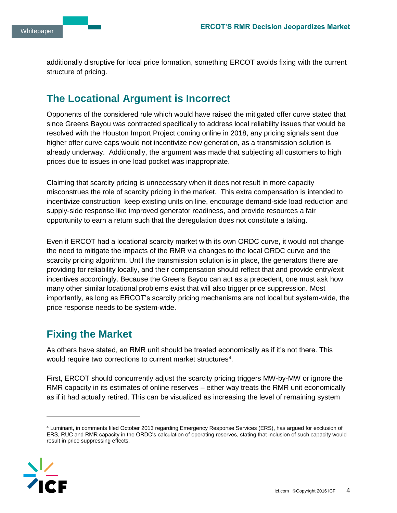additionally disruptive for local price formation, something ERCOT avoids fixing with the current structure of pricing.

# **The Locational Argument is Incorrect**

Opponents of the considered rule which would have raised the mitigated offer curve stated that since Greens Bayou was contracted specifically to address local reliability issues that would be resolved with the Houston Import Project coming online in 2018, any pricing signals sent due higher offer curve caps would not incentivize new generation, as a transmission solution is already underway. Additionally, the argument was made that subjecting all customers to high prices due to issues in one load pocket was inappropriate.

Claiming that scarcity pricing is unnecessary when it does not result in more capacity misconstrues the role of scarcity pricing in the market. This extra compensation is intended to incentivize construction keep existing units on line, encourage demand-side load reduction and supply-side response like improved generator readiness, and provide resources a fair opportunity to earn a return such that the deregulation does not constitute a taking.

Even if ERCOT had a locational scarcity market with its own ORDC curve, it would not change the need to mitigate the impacts of the RMR via changes to the local ORDC curve and the scarcity pricing algorithm. Until the transmission solution is in place, the generators there are providing for reliability locally, and their compensation should reflect that and provide entry/exit incentives accordingly. Because the Greens Bayou can act as a precedent, one must ask how many other similar locational problems exist that will also trigger price suppression. Most importantly, as long as ERCOT's scarcity pricing mechanisms are not local but system-wide, the price response needs to be system-wide.

# **Fixing the Market**

As others have stated, an RMR unit should be treated economically as if it's not there. This would require two corrections to current market structures<sup>4</sup>.

First, ERCOT should concurrently adjust the scarcity pricing triggers MW-by-MW or ignore the RMR capacity in its estimates of online reserves – either way treats the RMR unit economically as if it had actually retired. This can be visualized as increasing the level of remaining system

<sup>4</sup> Luminant, in comments filed October 2013 regarding Emergency Response Services (ERS), has argued for exclusion of ERS, RUC and RMR capacity in the ORDC's calculation of operating reserves, stating that inclusion of such capacity would result in price suppressing effects.

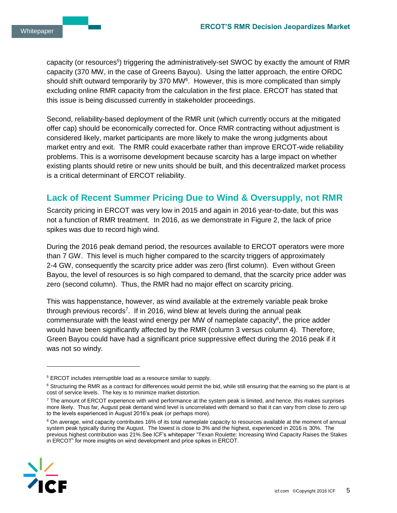capacity (or resources<sup>5</sup>) triggering the administratively-set SWOC by exactly the amount of RMR capacity (370 MW, in the case of Greens Bayou). Using the latter approach, the entire ORDC should shift outward temporarily by 370 MW $<sup>6</sup>$ . However, this is more complicated than simply</sup> excluding online RMR capacity from the calculation in the first place. ERCOT has stated that this issue is being discussed currently in stakeholder proceedings.

Second, reliability-based deployment of the RMR unit (which currently occurs at the mitigated offer cap) should be economically corrected for. Once RMR contracting without adjustment is considered likely, market participants are more likely to make the wrong judgments about market entry and exit. The RMR could exacerbate rather than improve ERCOT-wide reliability problems. This is a worrisome development because scarcity has a large impact on whether existing plants should retire or new units should be built, and this decentralized market process is a critical determinant of ERCOT reliability.

#### **Lack of Recent Summer Pricing Due to Wind & Oversupply, not RMR**

Scarcity pricing in ERCOT was very low in 2015 and again in 2016 year-to-date, but this was not a function of RMR treatment. In 2016, as we demonstrate in Figure 2, the lack of price spikes was due to record high wind.

During the 2016 peak demand period, the resources available to ERCOT operators were more than 7 GW. This level is much higher compared to the scarcity triggers of approximately 2-4 GW, consequently the scarcity price adder was zero (first column). Even without Green Bayou, the level of resources is so high compared to demand, that the scarcity price adder was zero (second column). Thus, the RMR had no major effect on scarcity pricing.

This was happenstance, however, as wind available at the extremely variable peak broke through previous records<sup>7</sup>. If in 2016, wind blew at levels during the annual peak commensurate with the least wind energy per MW of nameplate capacity<sup>8</sup>, the price adder would have been significantly affected by the RMR (column 3 versus column 4). Therefore, Green Bayou could have had a significant price suppressive effect during the 2016 peak if it was not so windy.

<sup>&</sup>lt;sup>8</sup> On average, wind capacity contributes 16% of its total nameplate capacity to resources available at the moment of annual system peak typically during the August. The lowest is close to 3% and the highest, experienced in 2016 is 30%. The previous highest contribution was 21%.See ICF's whitepaper "Texan Roulette: Increasing Wind Capacity Raises the Stakes in ERCOT" for more insights on wind development and price spikes in ERCOT.



<sup>5</sup> ERCOT includes interruptible load as a resource similar to supply.

 $6$  Structuring the RMR as a contract for differences would permit the bid, while still ensuring that the earning so the plant is at cost of service levels. The key is to minimize market distortion.

<sup>&</sup>lt;sup>7</sup> The amount of ERCOT experience with wind performance at the system peak is limited, and hence, this makes surprises more likely. Thus far, August peak demand wind level is uncorrelated with demand so that it can vary from close to zero up to the levels experienced in August 2016's peak (or perhaps more).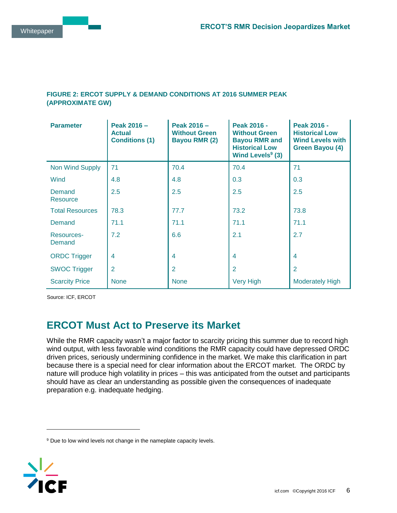#### **FIGURE 2: ERCOT SUPPLY & DEMAND CONDITIONS AT 2016 SUMMER PEAK (APPROXIMATE GW)**

| <b>Parameter</b>       | Peak 2016 -<br><b>Actual</b><br><b>Conditions (1)</b> | Peak 2016 -<br><b>Without Green</b><br><b>Bayou RMR (2)</b> | Peak 2016 -<br><b>Without Green</b><br><b>Bayou RMR and</b><br><b>Historical Low</b><br>Wind Levels <sup>9</sup> (3) | <b>Peak 2016 -</b><br><b>Historical Low</b><br><b>Wind Levels with</b><br><b>Green Bayou (4)</b> |
|------------------------|-------------------------------------------------------|-------------------------------------------------------------|----------------------------------------------------------------------------------------------------------------------|--------------------------------------------------------------------------------------------------|
| <b>Non Wind Supply</b> | 71                                                    | 70.4                                                        | 70.4                                                                                                                 | 71                                                                                               |
| Wind                   | 4.8                                                   | 4.8                                                         | 0.3                                                                                                                  | 0.3                                                                                              |
| Demand<br>Resource     | 2.5                                                   | 2.5                                                         | 2.5                                                                                                                  | 2.5                                                                                              |
| <b>Total Resources</b> | 78.3                                                  | 77.7                                                        | 73.2                                                                                                                 | 73.8                                                                                             |
| Demand                 | 71.1                                                  | 71.1                                                        | 71.1                                                                                                                 | 71.1                                                                                             |
| Resources-<br>Demand   | 7.2                                                   | 6.6                                                         | 2.1                                                                                                                  | 2.7                                                                                              |
| <b>ORDC Trigger</b>    | 4                                                     | 4                                                           | $\overline{4}$                                                                                                       | $\overline{4}$                                                                                   |
| <b>SWOC Trigger</b>    | $\overline{2}$                                        | $\overline{2}$                                              | $\overline{2}$                                                                                                       | 2                                                                                                |
| <b>Scarcity Price</b>  | <b>None</b>                                           | <b>None</b>                                                 | <b>Very High</b>                                                                                                     | <b>Moderately High</b>                                                                           |

Source: ICF, ERCOT

## **ERCOT Must Act to Preserve its Market**

While the RMR capacity wasn't a major factor to scarcity pricing this summer due to record high wind output, with less favorable wind conditions the RMR capacity could have depressed ORDC driven prices, seriously undermining confidence in the market. We make this clarification in part because there is a special need for clear information about the ERCOT market. The ORDC by nature will produce high volatility in prices – this was anticipated from the outset and participants should have as clear an understanding as possible given the consequences of inadequate preparation e.g. inadequate hedging.

<sup>&</sup>lt;sup>9</sup> Due to low wind levels not change in the nameplate capacity levels.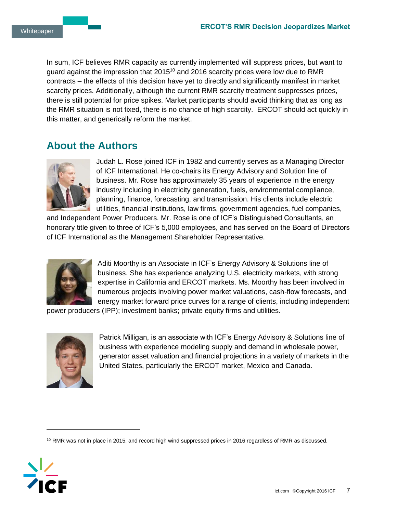In sum, ICF believes RMR capacity as currently implemented will suppress prices, but want to guard against the impression that  $2015<sup>10</sup>$  and 2016 scarcity prices were low due to RMR contracts – the effects of this decision have yet to directly and significantly manifest in market scarcity prices. Additionally, although the current RMR scarcity treatment suppresses prices, there is still potential for price spikes. Market participants should avoid thinking that as long as the RMR situation is not fixed, there is no chance of high scarcity. ERCOT should act quickly in this matter, and generically reform the market.

### **About the Authors**



Judah L. Rose joined ICF in 1982 and currently serves as a Managing Director of ICF International. He co-chairs its Energy Advisory and Solution line of business. Mr. Rose has approximately 35 years of experience in the energy industry including in electricity generation, fuels, environmental compliance, planning, finance, forecasting, and transmission. His clients include electric utilities, financial institutions, law firms, government agencies, fuel companies,

and Independent Power Producers. Mr. Rose is one of ICF's Distinguished Consultants, an honorary title given to three of ICF's 5,000 employees, and has served on the Board of Directors of ICF International as the Management Shareholder Representative.



Aditi Moorthy is an Associate in ICF's Energy Advisory & Solutions line of business. She has experience analyzing U.S. electricity markets, with strong expertise in California and ERCOT markets. Ms. Moorthy has been involved in numerous projects involving power market valuations, cash-flow forecasts, and energy market forward price curves for a range of clients, including independent

power producers (IPP); investment banks; private equity firms and utilities.



Patrick Milligan, is an associate with ICF's Energy Advisory & Solutions line of business with experience modeling supply and demand in wholesale power, generator asset valuation and financial projections in a variety of markets in the United States, particularly the ERCOT market, Mexico and Canada.

<sup>10</sup> RMR was not in place in 2015, and record high wind suppressed prices in 2016 regardless of RMR as discussed.

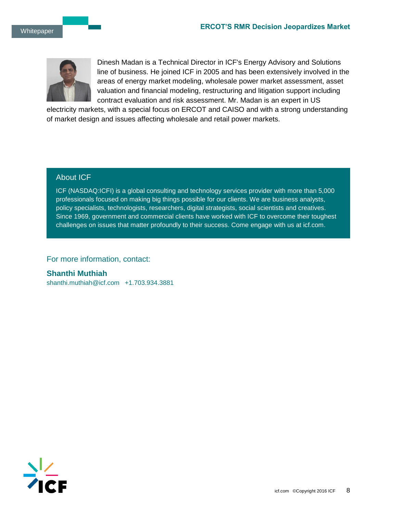

Dinesh Madan is a Technical Director in ICF's Energy Advisory and Solutions line of business. He joined ICF in 2005 and has been extensively involved in the areas of energy market modeling, wholesale power market assessment, asset valuation and financial modeling, restructuring and litigation support including contract evaluation and risk assessment. Mr. Madan is an expert in US

electricity markets, with a special focus on ERCOT and CAISO and with a strong understanding of market design and issues affecting wholesale and retail power markets.

#### About ICF

ICF (NASDAQ:ICFI) is a global consulting and technology services provider with more than 5,000 professionals focused on making big things possible for our clients. We are business analysts, policy specialists, technologists, researchers, digital strategists, social scientists and creatives. Since 1969, government and commercial clients have worked with ICF to overcome their toughest challenges on issues that matter profoundly to their success. Come engage with us at icf.com.

For more information, contact:

**Shanthi Muthiah**  shanthi.muthiah@icf.com +1.703.934.3881